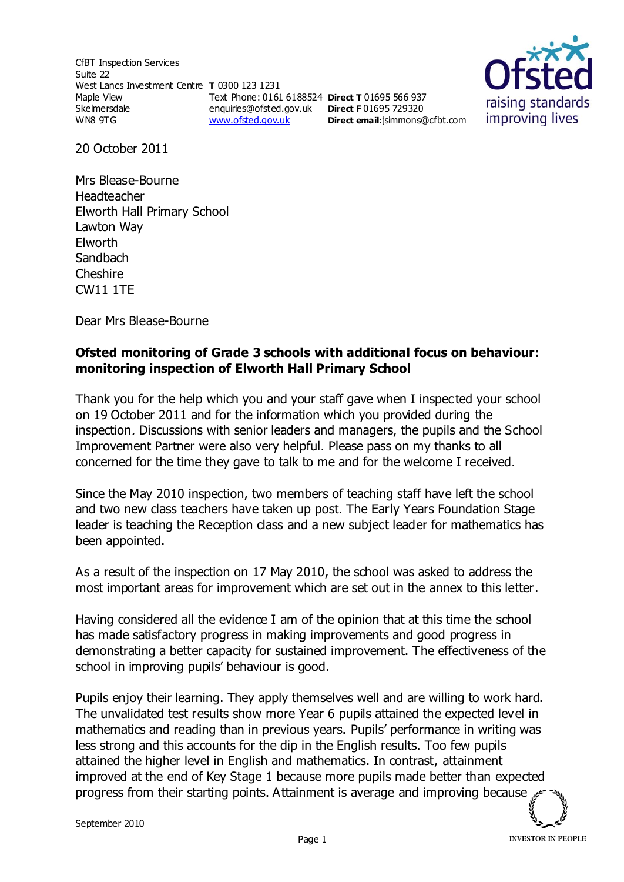CfBT Inspection Services Suite 22 West Lancs Investment Centre **T** 0300 123 1231 Maple View Skelmersdale WN8 9TG Text Phone: 0161 6188524 **Direct T** 01695 566 937 enquiries@ofsted.gov.uk **Direct F** 01695 729320 [www.ofsted.gov.uk](http://www.ofsted.gov.uk/)



20 October 2011

Mrs Blease-Bourne Headteacher Elworth Hall Primary School Lawton Way Elworth Sandbach Cheshire CW11 1TE

Dear Mrs Blease-Bourne

## **Ofsted monitoring of Grade 3 schools with additional focus on behaviour: monitoring inspection of Elworth Hall Primary School**

**Direct email**:[jsimmons@cfbt.com](../../jsimmons/AppData/Local/Microsoft/Windows/Temporary%20Internet%20Files/Content.IE5/LN727TIF/jsimmons@cfbt.com)

Thank you for the help which you and your staff gave when I inspected your school on 19 October 2011 and for the information which you provided during the inspection. Discussions with senior leaders and managers, the pupils and the School Improvement Partner were also very helpful. Please pass on my thanks to all concerned for the time they gave to talk to me and for the welcome I received.

Since the May 2010 inspection, two members of teaching staff have left the school and two new class teachers have taken up post. The Early Years Foundation Stage leader is teaching the Reception class and a new subject leader for mathematics has been appointed.

As a result of the inspection on 17 May 2010, the school was asked to address the most important areas for improvement which are set out in the annex to this letter.

Having considered all the evidence I am of the opinion that at this time the school has made satisfactory progress in making improvements and good progress in demonstrating a better capacity for sustained improvement. The effectiveness of the school in improving pupils' behaviour is good.

Pupils enjoy their learning. They apply themselves well and are willing to work hard. The unvalidated test results show more Year 6 pupils attained the expected level in mathematics and reading than in previous years. Pupils' performance in writing was less strong and this accounts for the dip in the English results. Too few pupils attained the higher level in English and mathematics. In contrast, attainment improved at the end of Key Stage 1 because more pupils made better than expected progress from their starting points. Attainment is average and improving because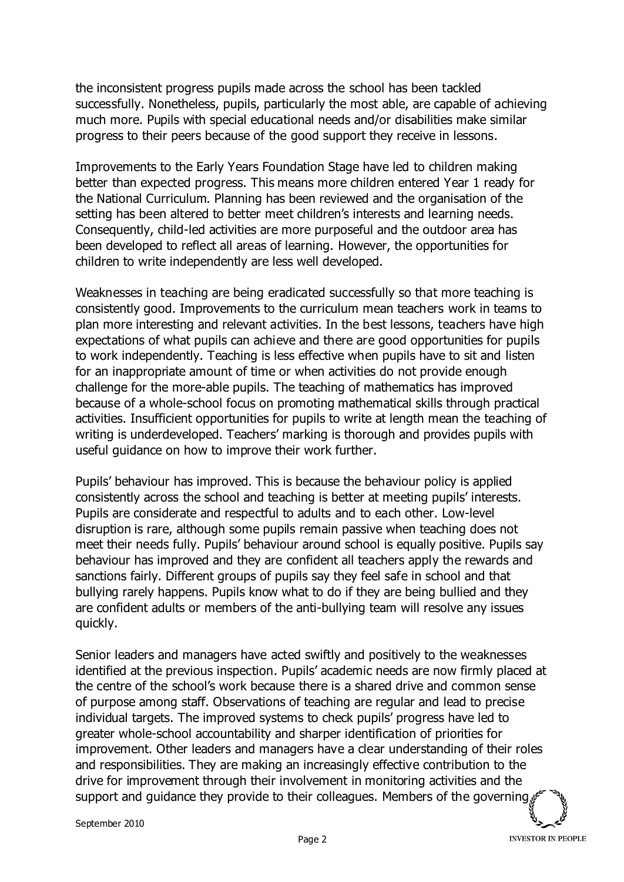the inconsistent progress pupils made across the school has been tackled successfully. Nonetheless, pupils, particularly the most able, are capable of achieving much more. Pupils with special educational needs and/or disabilities make similar progress to their peers because of the good support they receive in lessons.

Improvements to the Early Years Foundation Stage have led to children making better than expected progress. This means more children entered Year 1 ready for the National Curriculum. Planning has been reviewed and the organisation of the setting has been altered to better meet children's interests and learning needs. Consequently, child-led activities are more purposeful and the outdoor area has been developed to reflect all areas of learning. However, the opportunities for children to write independently are less well developed.

Weaknesses in teaching are being eradicated successfully so that more teaching is consistently good. Improvements to the curriculum mean teachers work in teams to plan more interesting and relevant activities. In the best lessons, teachers have high expectations of what pupils can achieve and there are good opportunities for pupils to work independently. Teaching is less effective when pupils have to sit and listen for an inappropriate amount of time or when activities do not provide enough challenge for the more-able pupils. The teaching of mathematics has improved because of a whole-school focus on promoting mathematical skills through practical activities. Insufficient opportunities for pupils to write at length mean the teaching of writing is underdeveloped. Teachers' marking is thorough and provides pupils with useful guidance on how to improve their work further.

Pupils' behaviour has improved. This is because the behaviour policy is applied consistently across the school and teaching is better at meeting pupils' interests. Pupils are considerate and respectful to adults and to each other. Low-level disruption is rare, although some pupils remain passive when teaching does not meet their needs fully. Pupils' behaviour around school is equally positive. Pupils say behaviour has improved and they are confident all teachers apply the rewards and sanctions fairly. Different groups of pupils say they feel safe in school and that bullying rarely happens. Pupils know what to do if they are being bullied and they are confident adults or members of the anti-bullying team will resolve any issues quickly.

Senior leaders and managers have acted swiftly and positively to the weaknesses identified at the previous inspection. Pupils' academic needs are now firmly placed at the centre of the school's work because there is a shared drive and common sense of purpose among staff. Observations of teaching are regular and lead to precise individual targets. The improved systems to check pupils' progress have led to greater whole-school accountability and sharper identification of priorities for improvement. Other leaders and managers have a clear understanding of their roles and responsibilities. They are making an increasingly effective contribution to the drive for improvement through their involvement in monitoring activities and the support and guidance they provide to their colleagues. Members of the governing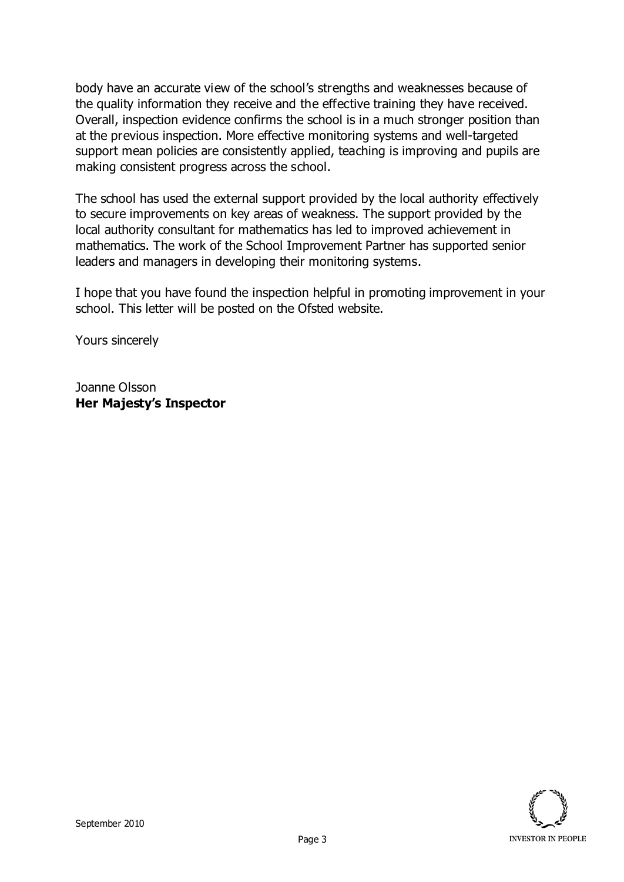body have an accurate view of the school's strengths and weaknesses because of the quality information they receive and the effective training they have received. Overall, inspection evidence confirms the school is in a much stronger position than at the previous inspection. More effective monitoring systems and well-targeted support mean policies are consistently applied, teaching is improving and pupils are making consistent progress across the school.

The school has used the external support provided by the local authority effectively to secure improvements on key areas of weakness. The support provided by the local authority consultant for mathematics has led to improved achievement in mathematics. The work of the School Improvement Partner has supported senior leaders and managers in developing their monitoring systems.

I hope that you have found the inspection helpful in promoting improvement in your school. This letter will be posted on the Ofsted website.

Yours sincerely

Joanne Olsson **Her Majesty's Inspector**